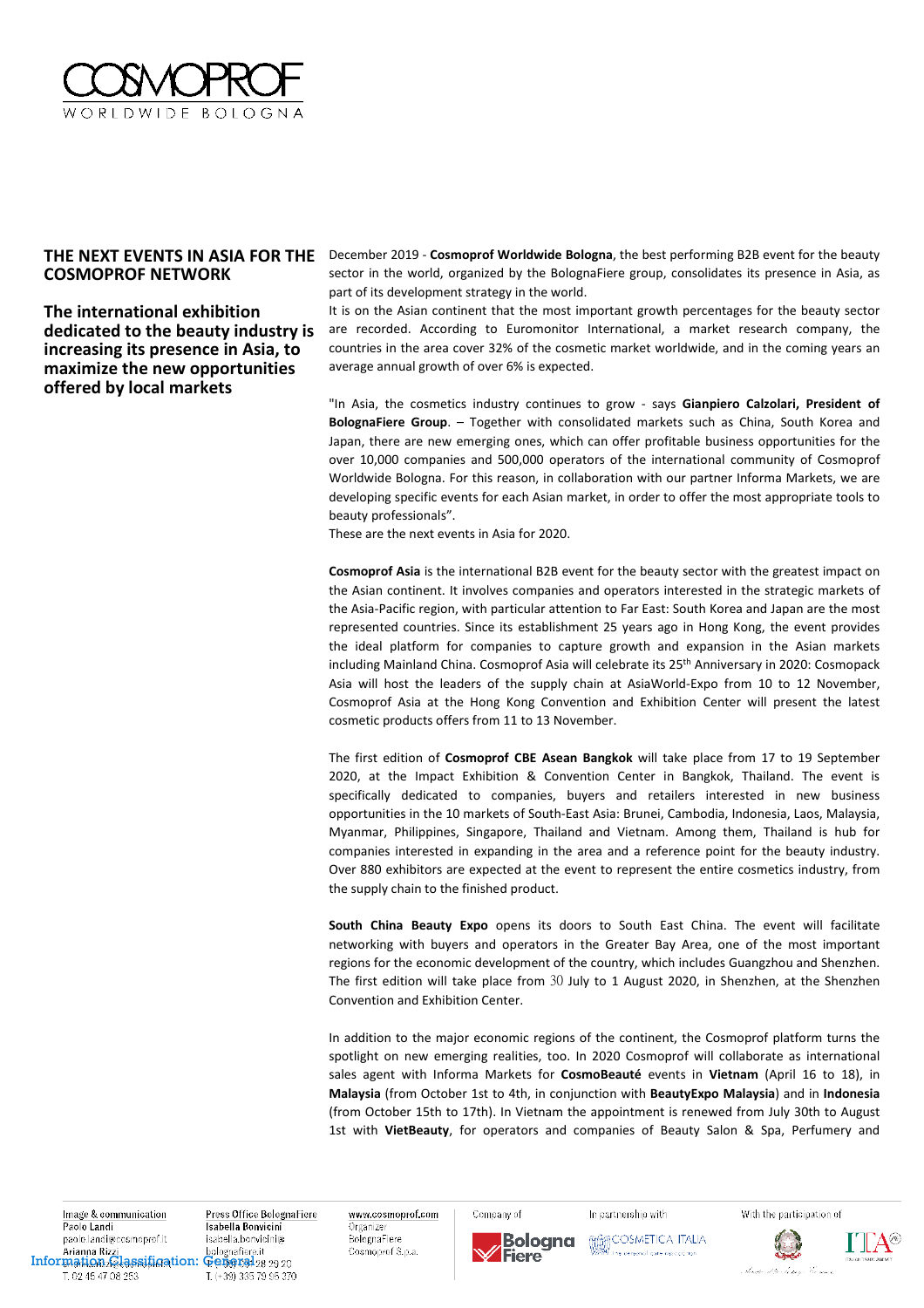

## **COSMOPROF NETWORK**

**The international exhibition dedicated to the beauty industry is increasing its presence in Asia, to maximize the new opportunities offered by local markets** 

**THE NEXT EVENTS IN ASIA FOR THE**  December 2019 - **Cosmoprof Worldwide Bologna**, the best performing B2B event for the beauty sector in the world, organized by the BolognaFiere group, consolidates its presence in Asia, as part of its development strategy in the world.

> It is on the Asian continent that the most important growth percentages for the beauty sector are recorded. According to Euromonitor International, a market research company, the countries in the area cover 32% of the cosmetic market worldwide, and in the coming years an average annual growth of over 6% is expected.

> "In Asia, the cosmetics industry continues to grow - says **Gianpiero Calzolari, President of BolognaFiere Group**. – Together with consolidated markets such as China, South Korea and Japan, there are new emerging ones, which can offer profitable business opportunities for the over 10,000 companies and 500,000 operators of the international community of Cosmoprof Worldwide Bologna. For this reason, in collaboration with our partner Informa Markets, we are developing specific events for each Asian market, in order to offer the most appropriate tools to beauty professionals".

These are the next events in Asia for 2020.

**Cosmoprof Asia** is the international B2B event for the beauty sector with the greatest impact on the Asian continent. It involves companies and operators interested in the strategic markets of the Asia-Pacific region, with particular attention to Far East: South Korea and Japan are the most represented countries. Since its establishment 25 years ago in Hong Kong, the event provides the ideal platform for companies to capture growth and expansion in the Asian markets including Mainland China. Cosmoprof Asia will celebrate its 25th Anniversary in 2020: Cosmopack Asia will host the leaders of the supply chain at AsiaWorld-Expo from 10 to 12 November, Cosmoprof Asia at the Hong Kong Convention and Exhibition Center will present the latest cosmetic products offers from 11 to 13 November.

The first edition of **Cosmoprof CBE Asean Bangkok** will take place from 17 to 19 September 2020, at the Impact Exhibition & Convention Center in Bangkok, Thailand. The event is specifically dedicated to companies, buyers and retailers interested in new business opportunities in the 10 markets of South-East Asia: Brunei, Cambodia, Indonesia, Laos, Malaysia, Myanmar, Philippines, Singapore, Thailand and Vietnam. Among them, Thailand is hub for companies interested in expanding in the area and a reference point for the beauty industry. Over 880 exhibitors are expected at the event to represent the entire cosmetics industry, from the supply chain to the finished product.

**South China Beauty Expo** opens its doors to South East China. The event will facilitate networking with buyers and operators in the Greater Bay Area, one of the most important regions for the economic development of the country, which includes Guangzhou and Shenzhen. The first edition will take place from 30 July to 1 August 2020, in Shenzhen, at the Shenzhen Convention and Exhibition Center.

In addition to the major economic regions of the continent, the Cosmoprof platform turns the spotlight on new emerging realities, too. In 2020 Cosmoprof will collaborate as international sales agent with Informa Markets for **CosmoBeauté** events in **Vietnam** (April 16 to 18), in **Malaysia** (from October 1st to 4th, in conjunction with **BeautyExpo Malaysia**) and in **Indonesia** (from October 15th to 17th). In Vietnam the appointment is renewed from July 30th to August 1st with **VietBeauty**, for operators and companies of Beauty Salon & Spa, Perfumery and

Image & communication Paolo Landi paolo.landi@cosmoprof.it **Information Rizical Classification:** Geografiere.it T. 02 45 47 08 253

Press Office BolognaFiere Isabella Bonvicini isabella.bonvicini@ T. (+39) 335 79 95 370

www.cosmoprof.com Organizer BolognaFiere Cosmoprof S.p.a.

Company of

Fiere

Bologna

In partnership with **MARCOSMETICA ITALIA** the personal care association

With the participation of